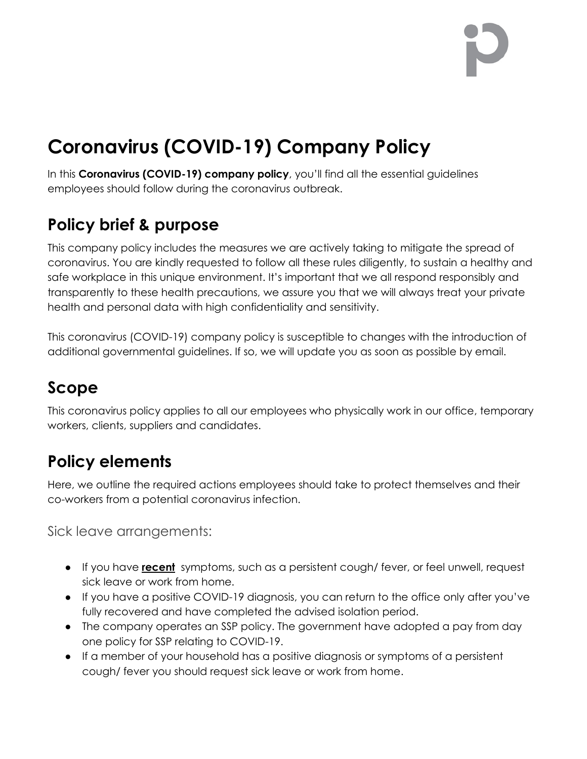# **Coronavirus (COVID-19) Company Policy**

In this **Coronavirus (COVID-19) company policy**, you'll find all the essential guidelines employees should follow during the coronavirus outbreak.

## **Policy brief & purpose**

This company policy includes the measures we are actively taking to mitigate the spread of coronavirus. You are kindly requested to follow all these rules diligently, to sustain a healthy and safe workplace in this unique environment. It's important that we all respond responsibly and transparently to these health precautions, we assure you that we will always treat your private health and personal data with high confidentiality and sensitivity.

This coronavirus (COVID-19) company policy is susceptible to changes with the introduction of additional governmental guidelines. If so, we will update you as soon as possible by email.

#### **Scope**

This coronavirus policy applies to all our employees who physically work in our office, temporary workers, clients, suppliers and candidates.

## **Policy elements**

Here, we outline the required actions employees should take to protect themselves and their co-workers from a potential coronavirus infection.

Sick leave arrangements:

- If you have **recent** symptoms, such as a persistent cough/ fever, or feel unwell, request sick leave or work from home.
- If you have a positive COVID-19 diagnosis, you can return to the office only after you've fully recovered and have completed the advised isolation period.
- The company operates an SSP policy. The government have adopted a pay from day one policy for SSP relating to COVID-19.
- If a member of your household has a positive diagnosis or symptoms of a persistent cough/ fever you should request sick leave or work from home.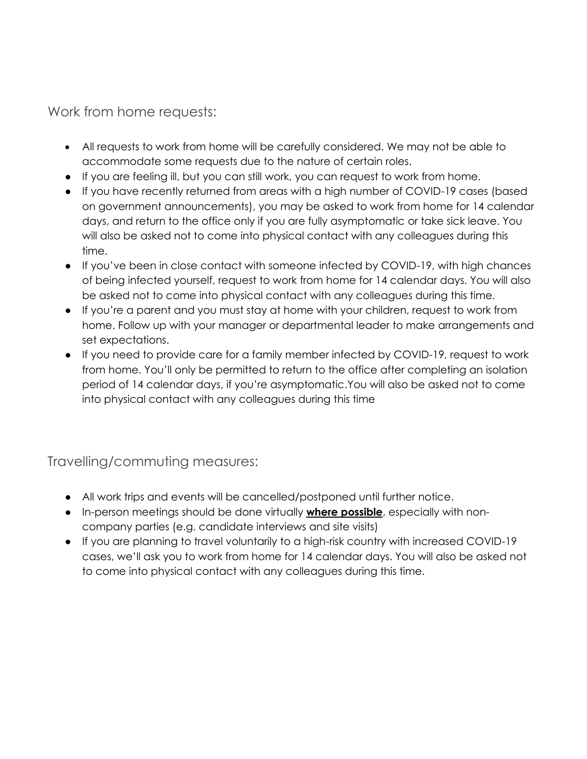Work from home requests:

- All requests to work from home will be carefully considered. We may not be able to accommodate some requests due to the nature of certain roles.
- If you are feeling ill, but you can still work, you can request to work from home.
- If you have recently returned from areas with a high number of COVID-19 cases (based on government announcements), you may be asked to work from home for 14 calendar days, and return to the office only if you are fully asymptomatic or take sick leave. You will also be asked not to come into physical contact with any colleagues during this time.
- If you've been in close contact with someone infected by COVID-19, with high chances of being infected yourself, request to work from home for 14 calendar days. You will also be asked not to come into physical contact with any colleagues during this time.
- If you're a parent and you must stay at home with your children, request to work from home. Follow up with your manager or departmental leader to make arrangements and set expectations.
- If you need to provide care for a family member infected by COVID-19, request to work from home. You'll only be permitted to return to the office after completing an isolation period of 14 calendar days, if you're asymptomatic.You will also be asked not to come into physical contact with any colleagues during this time

Travelling/commuting measures:

- All work trips and events will be cancelled/postponed until further notice.
- In-person meetings should be done virtually **where possible**, especially with noncompany parties (e.g. candidate interviews and site visits)
- If you are planning to travel voluntarily to a high-risk country with increased COVID-19 cases, we'll ask you to work from home for 14 calendar days. You will also be asked not to come into physical contact with any colleagues during this time.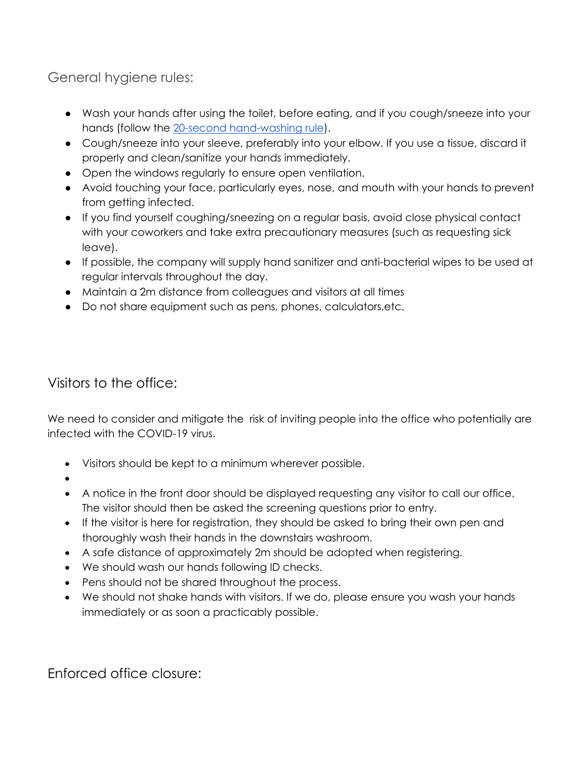General hygiene rules:

- Wash your hands after using the toilet, before eating, and if you cough/sneeze into your hands (follow the [20-second hand-washing rule\)](https://www.washingtonpost.com/lifestyle/2020/03/10/teach-kids-hand-washing-coronavirus/).
- Cough/sneeze into your sleeve, preferably into your elbow. If you use a tissue, discard it properly and clean/sanitize your hands immediately.
- Open the windows regularly to ensure open ventilation.
- Avoid touching your face, particularly eyes, nose, and mouth with your hands to prevent from getting infected.
- If you find yourself coughing/sneezing on a regular basis, avoid close physical contact with your coworkers and take extra precautionary measures (such as requesting sick leave).
- If possible, the company will supply hand sanitizer and anti-bacterial wipes to be used at regular intervals throughout the day.
- Maintain a 2m distance from colleagues and visitors at all times
- Do not share equipment such as pens, phones, calculators,etc.

Visitors to the office:

We need to consider and mitigate the risk of inviting people into the office who potentially are infected with the COVID-19 virus.

- Visitors should be kept to a minimum wherever possible.
- •
- A notice in the front door should be displayed requesting any visitor to call our office. The visitor should then be asked the screening questions prior to entry.
- If the visitor is here for registration, they should be asked to bring their own pen and thoroughly wash their hands in the downstairs washroom.
- A safe distance of approximately 2m should be adopted when registering.
- We should wash our hands following ID checks.
- Pens should not be shared throughout the process.
- We should not shake hands with visitors. If we do, please ensure you wash your hands immediately or as soon a practicably possible.

Enforced office closure: